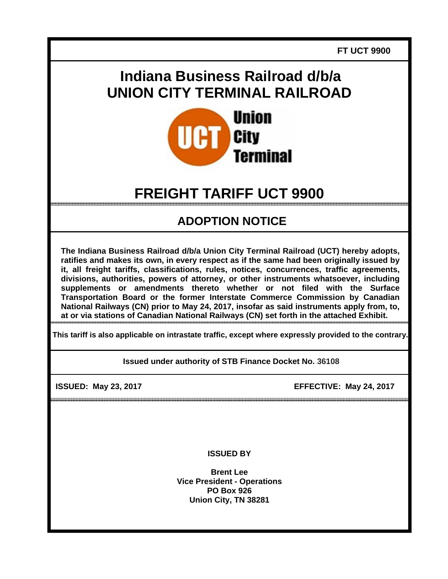**FT UCT 9900** 

## **Indiana Business Railroad d/b/a UNION CITY TERMINAL RAILROAD**



# **FREIGHT TARIFF UCT 9900**

### **ADOPTION NOTICE**

**The Indiana Business Railroad d/b/a Union City Terminal Railroad (UCT) hereby adopts, ratifies and makes its own, in every respect as if the same had been originally issued by it, all freight tariffs, classifications, rules, notices, concurrences, traffic agreements, divisions, authorities, powers of attorney, or other instruments whatsoever, including supplements or amendments thereto whether or not filed with the Surface Transportation Board or the former Interstate Commerce Commission by Canadian National Railways (CN) prior to May 24, 2017, insofar as said instruments apply from, to, at or via stations of Canadian National Railways (CN) set forth in the attached Exhibit.** 

**This tariff is also applicable on intrastate traffic, except where expressly provided to the contrary.** 

**Issued under authority of STB Finance Docket No. 36108**

**ISSUED: May 23, 2017 EFFECTIVE: May 24, 2017** 

**ISSUED BY** 

**Brent Lee Vice President - Operations PO Box 926 Union City, TN 38281**